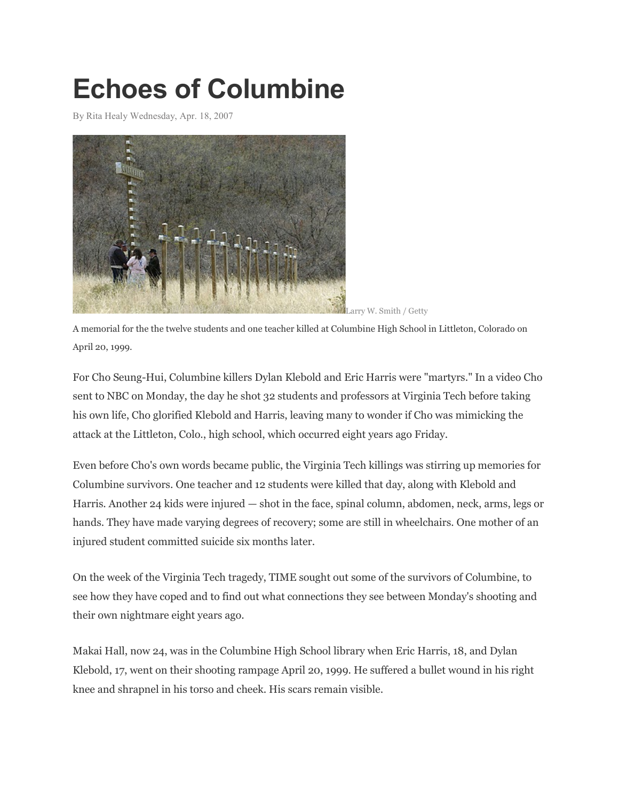## **Echoes of Columbine**

By Rita Healy Wednesday, Apr. 18, 2007



A memorial for the the twelve students and one teacher killed at Columbine High School in Littleton, Colorado on April 20, 1999.

For Cho Seung-Hui, Columbine killers Dylan Klebold and Eric Harris were "martyrs." In a video Cho sent to NBC on Monday, the day he shot 32 students and professors at Virginia Tech before taking his own life, Cho glorified Klebold and Harris, leaving many to wonder if Cho was mimicking the attack at the Littleton, Colo., high school, which occurred eight years ago Friday.

Even before Cho's own words became public, the Virginia Tech killings was stirring up memories for Columbine survivors. One teacher and 12 students were killed that day, along with Klebold and Harris. Another 24 kids were injured — shot in the face, spinal column, abdomen, neck, arms, legs or hands. They have made varying degrees of recovery; some are still in wheelchairs. One mother of an injured student committed suicide six months later.

On the week of the Virginia Tech tragedy, TIME sought out some of the survivors of Columbine, to see how they have coped and to find out what connections they see between Monday's shooting and their own nightmare eight years ago.

Makai Hall, now 24, was in the Columbine High School library when Eric Harris, 18, and Dylan Klebold, 17, went on their shooting rampage April 20, 1999. He suffered a bullet wound in his right knee and shrapnel in his torso and cheek. His scars remain visible.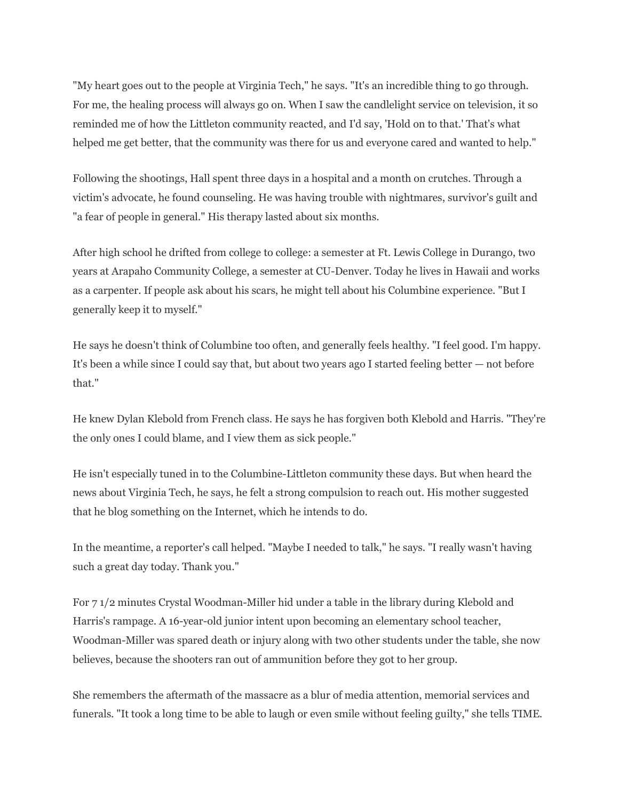"My heart goes out to the people at Virginia Tech," he says. "It's an incredible thing to go through. For me, the healing process will always go on. When I saw the candlelight service on television, it so reminded me of how the Littleton community reacted, and I'd say, 'Hold on to that.' That's what helped me get better, that the community was there for us and everyone cared and wanted to help."

Following the shootings, Hall spent three days in a hospital and a month on crutches. Through a victim's advocate, he found counseling. He was having trouble with nightmares, survivor's guilt and "a fear of people in general." His therapy lasted about six months.

After high school he drifted from college to college: a semester at Ft. Lewis College in Durango, two years at Arapaho Community College, a semester at CU-Denver. Today he lives in Hawaii and works as a carpenter. If people ask about his scars, he might tell about his Columbine experience. "But I generally keep it to myself."

He says he doesn't think of Columbine too often, and generally feels healthy. "I feel good. I'm happy. It's been a while since I could say that, but about two years ago I started feeling better — not before that."

He knew Dylan Klebold from French class. He says he has forgiven both Klebold and Harris. "They're the only ones I could blame, and I view them as sick people."

He isn't especially tuned in to the Columbine-Littleton community these days. But when heard the news about Virginia Tech, he says, he felt a strong compulsion to reach out. His mother suggested that he blog something on the Internet, which he intends to do.

In the meantime, a reporter's call helped. "Maybe I needed to talk," he says. "I really wasn't having such a great day today. Thank you."

For 7 1/2 minutes Crystal Woodman-Miller hid under a table in the library during Klebold and Harris's rampage. A 16-year-old junior intent upon becoming an elementary school teacher, Woodman-Miller was spared death or injury along with two other students under the table, she now believes, because the shooters ran out of ammunition before they got to her group.

She remembers the aftermath of the massacre as a blur of media attention, memorial services and funerals. "It took a long time to be able to laugh or even smile without feeling guilty," she tells TIME.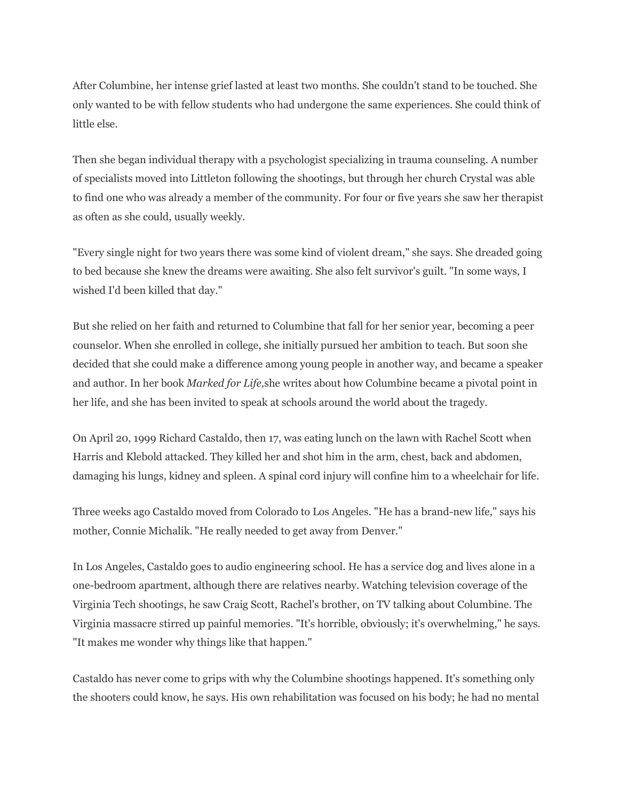After Columbine, her intense grief lasted at least two months. She couldn't stand to be touched. She only wanted to be with fellow students who had undergone the same experiences. She could think of little else.

Then she began individual therapy with a psychologist specializing in trauma counseling. A number of specialists moved into Littleton following the shootings, but through her church Crystal was able to find one who was already a member of the community. For four or five years she saw her therapist as often as she could, usually weekly.

"Every single night for two years there was some kind of violent dream," she says. She dreaded going to bed because she knew the dreams were awaiting. She also felt survivor's guilt. "In some ways, I wished I'd been killed that day."

But she relied on her faith and returned to Columbine that fall for her senior year, becoming a peer counselor. When she enrolled in college, she initially pursued her ambition to teach. But soon she decided that she could make a difference among young people in another way, and became a speaker and author. In her book *Marked for Life,*she writes about how Columbine became a pivotal point in her life, and she has been invited to speak at schools around the world about the tragedy.

On April 20, 1999 Richard Castaldo, then 17, was eating lunch on the lawn with Rachel Scott when Harris and Klebold attacked. They killed her and shot him in the arm, chest, back and abdomen, damaging his lungs, kidney and spleen. A spinal cord injury will confine him to a wheelchair for life.

Three weeks ago Castaldo moved from Colorado to Los Angeles. "He has a brand-new life," says his mother, Connie Michalik. "He really needed to get away from Denver."

In Los Angeles, Castaldo goes to audio engineering school. He has a service dog and lives alone in a one-bedroom apartment, although there are relatives nearby. Watching television coverage of the Virginia Tech shootings, he saw Craig Scott, Rachel's brother, on TV talking about Columbine. The Virginia massacre stirred up painful memories. "It's horrible, obviously; it's overwhelming," he says. "It makes me wonder why things like that happen."

Castaldo has never come to grips with why the Columbine shootings happened. It's something only the shooters could know, he says. His own rehabilitation was focused on his body; he had no mental